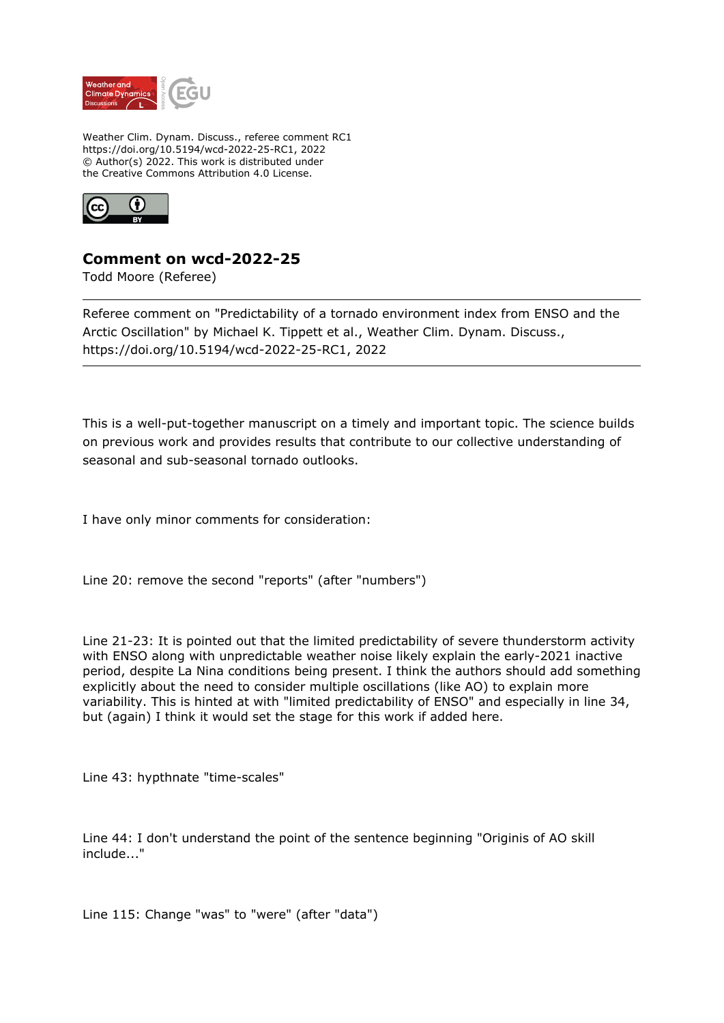

Weather Clim. Dynam. Discuss., referee comment RC1 https://doi.org/10.5194/wcd-2022-25-RC1, 2022 © Author(s) 2022. This work is distributed under the Creative Commons Attribution 4.0 License.



## **Comment on wcd-2022-25**

Todd Moore (Referee)

Referee comment on "Predictability of a tornado environment index from ENSO and the Arctic Oscillation" by Michael K. Tippett et al., Weather Clim. Dynam. Discuss., https://doi.org/10.5194/wcd-2022-25-RC1, 2022

This is a well-put-together manuscript on a timely and important topic. The science builds on previous work and provides results that contribute to our collective understanding of seasonal and sub-seasonal tornado outlooks.

I have only minor comments for consideration:

Line 20: remove the second "reports" (after "numbers")

Line 21-23: It is pointed out that the limited predictability of severe thunderstorm activity with ENSO along with unpredictable weather noise likely explain the early-2021 inactive period, despite La Nina conditions being present. I think the authors should add something explicitly about the need to consider multiple oscillations (like AO) to explain more variability. This is hinted at with "limited predictability of ENSO" and especially in line 34, but (again) I think it would set the stage for this work if added here.

Line 43: hypthnate "time-scales"

Line 44: I don't understand the point of the sentence beginning "Originis of AO skill include..."

Line 115: Change "was" to "were" (after "data")